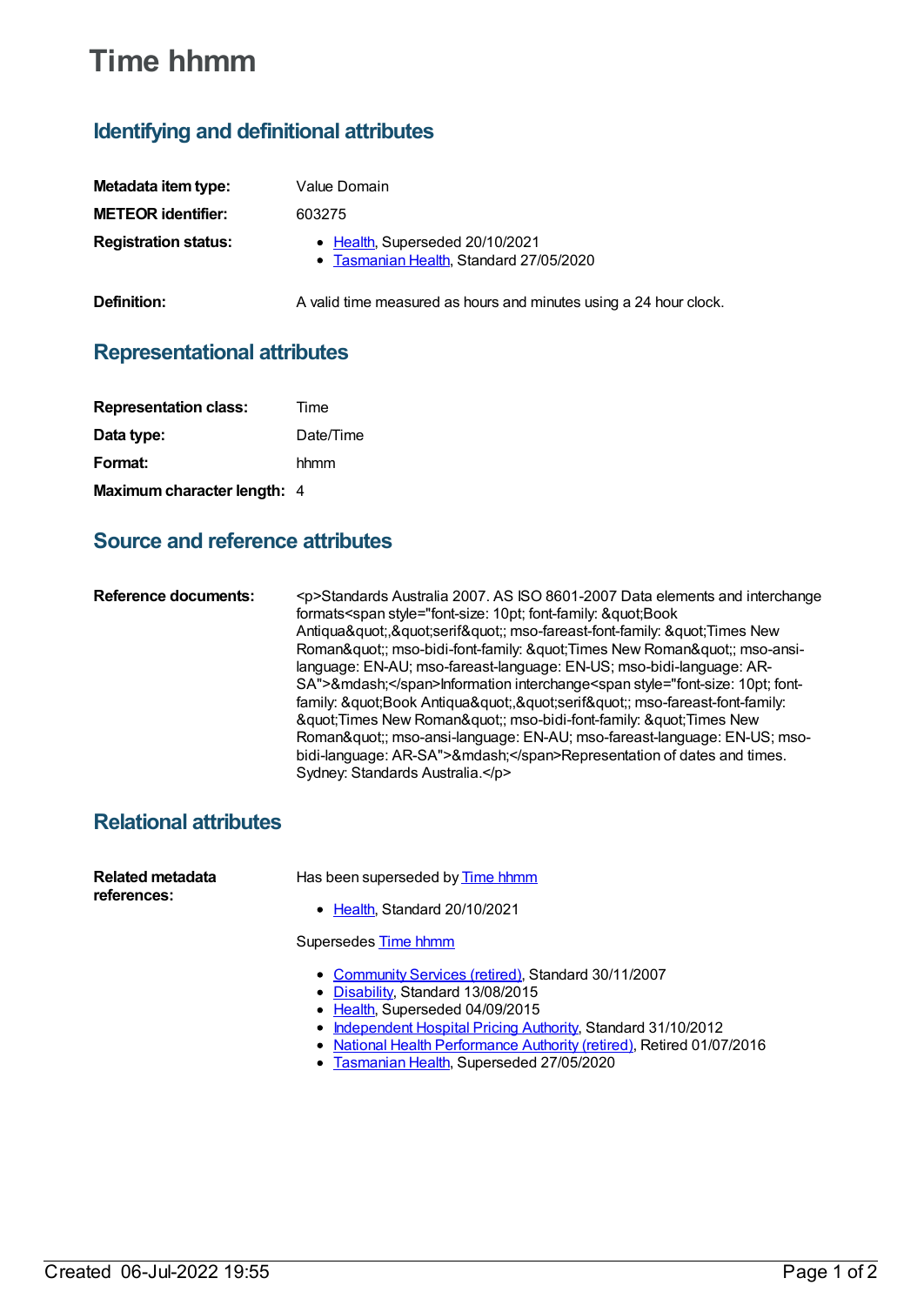# **Time hhmm**

## **Identifying and definitional attributes**

| Metadata item type:         | Value Domain                                                               |
|-----------------------------|----------------------------------------------------------------------------|
| <b>METEOR identifier:</b>   | 603275                                                                     |
| <b>Registration status:</b> | • Health, Superseded 20/10/2021<br>• Tasmanian Health, Standard 27/05/2020 |
| Definition:                 | A valid time measured as hours and minutes using a 24 hour clock.          |

#### **Representational attributes**

| <b>Representation class:</b> | Time      |
|------------------------------|-----------|
| Data type:                   | Date/Time |
| Format:                      | hhmm      |
| Maximum character length: 4  |           |

#### **Source and reference attributes**

**Reference documents:** <p>Standards Australia 2007. AS ISO 8601-2007 Data elements and interchange formats<span style="font-size: 10pt; font-family: &quot;Book Antiqua","serif"; mso-fareast-font-family: "Times New Roman"; mso-bidi-font-family: "Times New Roman"; mso-ansilanguage: EN-AU; mso-fareast-language: EN-US; mso-bidi-language: AR-SA">—</span>Information interchange<span style="font-size: 10pt; fontfamily: "Book Antiqua","serif"; mso-fareast-font-family: " Times New Roman"; mso-bidi-font-family: " Times New Roman"; mso-ansi-language: EN-AU; mso-fareast-language: EN-US; msobidi-language: AR-SA">—</span>Representation of dates and times. Sydney: Standards Australia.</p>

### **Relational attributes**

| Related metadata<br>references: | Has been superseded by Time hhmm                                                                                                                                                                                                                                                                                   |
|---------------------------------|--------------------------------------------------------------------------------------------------------------------------------------------------------------------------------------------------------------------------------------------------------------------------------------------------------------------|
|                                 | • Health, Standard 20/10/2021                                                                                                                                                                                                                                                                                      |
|                                 | Supersedes Time hhmm                                                                                                                                                                                                                                                                                               |
|                                 | • Community Services (retired), Standard 30/11/2007<br>• Disability, Standard 13/08/2015<br>• Health, Superseded 04/09/2015<br>• Independent Hospital Pricing Authority, Standard 31/10/2012<br>• National Health Performance Authority (retired), Retired 01/07/2016<br>• Tasmanian Health, Superseded 27/05/2020 |